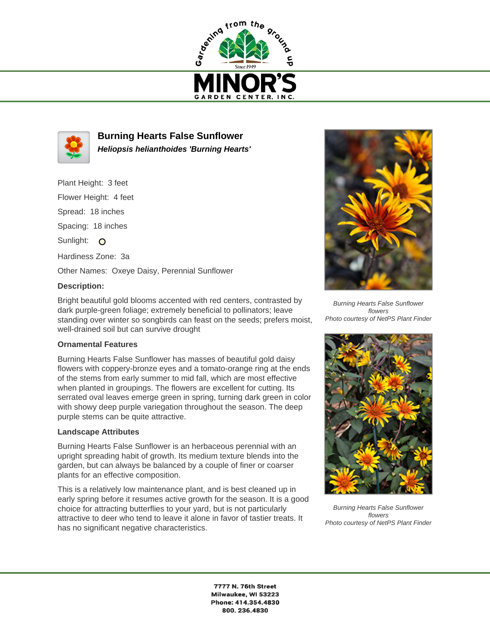



**Burning Hearts False Sunflower Heliopsis helianthoides 'Burning Hearts'**

Plant Height: 3 feet Flower Height: 4 feet Spread: 18 inches Spacing: 18 inches Sunlight: O Hardiness Zone: 3a Other Names: Oxeye Daisy, Perennial Sunflower

## **Description:**

Bright beautiful gold blooms accented with red centers, contrasted by dark purple-green foliage; extremely beneficial to pollinators; leave standing over winter so songbirds can feast on the seeds; prefers moist, well-drained soil but can survive drought

## **Ornamental Features**

Burning Hearts False Sunflower has masses of beautiful gold daisy flowers with coppery-bronze eyes and a tomato-orange ring at the ends of the stems from early summer to mid fall, which are most effective when planted in groupings. The flowers are excellent for cutting. Its serrated oval leaves emerge green in spring, turning dark green in color with showy deep purple variegation throughout the season. The deep purple stems can be quite attractive.

## **Landscape Attributes**

Burning Hearts False Sunflower is an herbaceous perennial with an upright spreading habit of growth. Its medium texture blends into the garden, but can always be balanced by a couple of finer or coarser plants for an effective composition.

This is a relatively low maintenance plant, and is best cleaned up in early spring before it resumes active growth for the season. It is a good choice for attracting butterflies to your yard, but is not particularly attractive to deer who tend to leave it alone in favor of tastier treats. It has no significant negative characteristics.



Burning Hearts False Sunflower flowers Photo courtesy of NetPS Plant Finder



Burning Hearts False Sunflower flowers Photo courtesy of NetPS Plant Finder

7777 N. 76th Street Milwaukee, WI 53223 Phone: 414.354.4830 800.236.4830